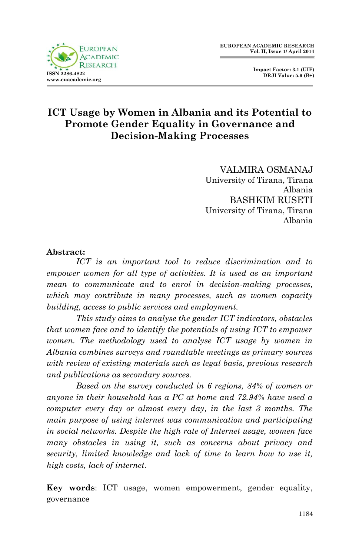

 **Impact Factor: 3.1 (UIF) DRJI Value: 5.9 (B+)**

# **ICT Usage by Women in Albania and its Potential to Promote Gender Equality in Governance and Decision-Making Processes**

VALMIRA OSMANAJ University of Tirana, Tirana Albania BASHKIM RUSETI University of Tirana, Tirana Albania

#### **Abstract:**

*ICT is an important tool to reduce discrimination and to empower women for all type of activities. It is used as an important mean to communicate and to enrol in decision-making processes, which may contribute in many processes, such as women capacity building, access to public services and employment.*

*This study aims to analyse the gender ICT indicators, obstacles that women face and to identify the potentials of using ICT to empower women. The methodology used to analyse ICT usage by women in Albania combines surveys and roundtable meetings as primary sources with review of existing materials such as legal basis, previous research and publications as secondary sources.* 

*Based on the survey conducted in 6 regions, 84% of women or anyone in their household has a PC at home and 72.94% have used a computer every day or almost every day, in the last 3 months. The main purpose of using internet was communication and participating in social networks. Despite the high rate of Internet usage, women face many obstacles in using it, such as concerns about privacy and security, limited knowledge and lack of time to learn how to use it, high costs, lack of internet.* 

**Key words**: ICT usage, women empowerment, gender equality, governance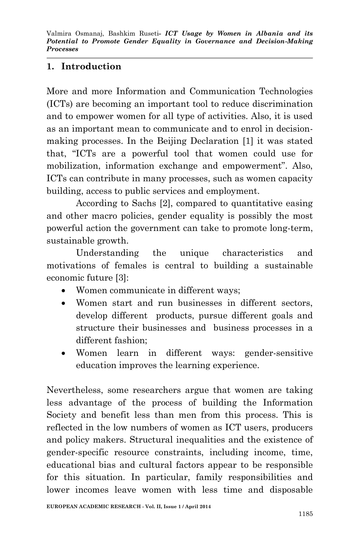# **1. Introduction**

More and more Information and Communication Technologies (ICTs) are becoming an important tool to reduce discrimination and to empower women for all type of activities. Also, it is used as an important mean to communicate and to enrol in decisionmaking processes. In the Beijing Declaration [1] it was stated that, "ICTs are a powerful tool that women could use for mobilization, information exchange and empowerment". Also, ICTs can contribute in many processes, such as women capacity building, access to public services and employment.

According to Sachs [2], compared to quantitative easing and other macro policies, gender equality is possibly the most powerful action the government can take to promote long-term, sustainable growth.

Understanding the unique characteristics and motivations of females is central to building a sustainable economic future [3]:

- Women communicate in different ways;
- Women start and run businesses in different sectors, develop different products, pursue different goals and structure their businesses and business processes in a different fashion;
- Women learn in different ways: gender-sensitive education improves the learning experience.

Nevertheless, some researchers argue that women are taking less advantage of the process of building the Information Society and benefit less than men from this process. This is reflected in the low numbers of women as ICT users, producers and policy makers. Structural inequalities and the existence of gender-specific resource constraints, including income, time, educational bias and cultural factors appear to be responsible for this situation. In particular, family responsibilities and lower incomes leave women with less time and disposable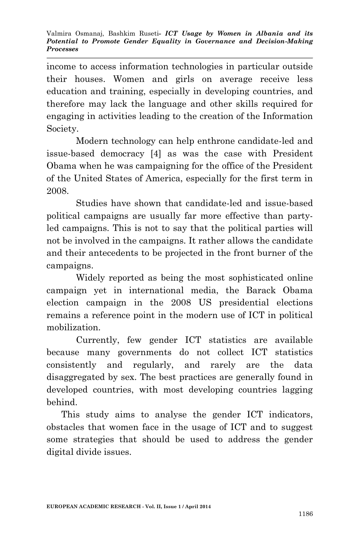income to access information technologies in particular outside their houses. Women and girls on average receive less education and training, especially in developing countries, and therefore may lack the language and other skills required for engaging in activities leading to the creation of the Information Society.

Modern technology can help enthrone candidate-led and issue-based democracy [4] as was the case with President Obama when he was campaigning for the office of the President of the United States of America, especially for the first term in 2008.

Studies have shown that candidate-led and issue-based political campaigns are usually far more effective than partyled campaigns. This is not to say that the political parties will not be involved in the campaigns. It rather allows the candidate and their antecedents to be projected in the front burner of the campaigns.

Widely reported as being the most sophisticated online campaign yet in international media, the Barack Obama election campaign in the 2008 US presidential elections remains a reference point in the modern use of ICT in political mobilization.

Currently, few gender ICT statistics are available because many governments do not collect ICT statistics consistently and regularly, and rarely are the data disaggregated by sex. The best practices are generally found in developed countries, with most developing countries lagging behind.

This study aims to analyse the gender ICT indicators, obstacles that women face in the usage of ICT and to suggest some strategies that should be used to address the gender digital divide issues.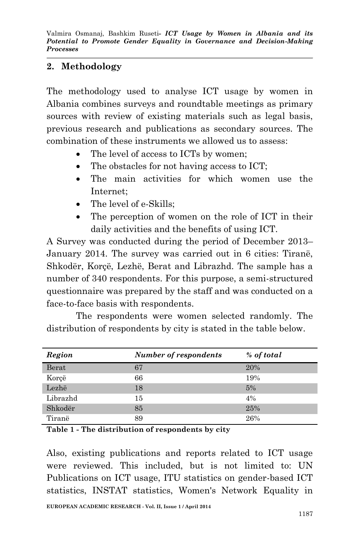## **2. Methodology**

The methodology used to analyse ICT usage by women in Albania combines surveys and roundtable meetings as primary sources with review of existing materials such as legal basis, previous research and publications as secondary sources. The combination of these instruments we allowed us to assess:

- The level of access to ICTs by women;
- The obstacles for not having access to ICT;
- The main activities for which women use the Internet;
- The level of e-Skills:
- The perception of women on the role of ICT in their daily activities and the benefits of using ICT.

A Survey was conducted during the period of December 2013– January 2014. The survey was carried out in 6 cities: Tiranë, Shkodër, Korçë, Lezhë, Berat and Librazhd. The sample has a number of 340 respondents. For this purpose, a semi-structured questionnaire was prepared by the staff and was conducted on a face-to-face basis with respondents.

The respondents were women selected randomly. The distribution of respondents by city is stated in the table below.

| Region   | <b>Number of respondents</b> | % of total |
|----------|------------------------------|------------|
| Berat    | 67                           | 20%        |
| Korçë    | 66                           | 19%        |
| Lezhë    | 18                           | 5%         |
| Librazhd | 15                           | 4%         |
| Shkodër  | 85                           | 25%        |
| Tiranë   | 89                           | 26%        |

**Table 1 - The distribution of respondents by city**

Also, existing publications and reports related to ICT usage were reviewed. This included, but is not limited to: UN Publications on ICT usage, ITU statistics on gender-based ICT statistics, INSTAT statistics, Women's Network Equality in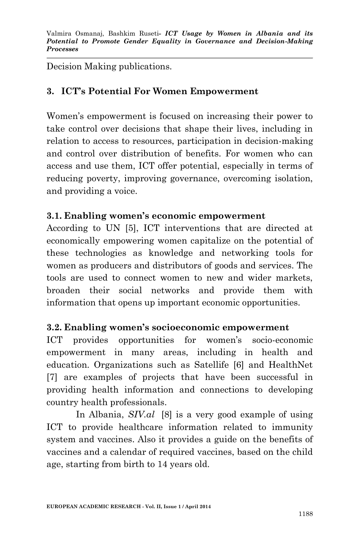Decision Making publications.

# **3. ICT's Potential For Women Empowerment**

Women's empowerment is focused on increasing their power to take control over decisions that shape their lives, including in relation to access to resources, participation in decision-making and control over distribution of benefits. For women who can access and use them, ICT offer potential, especially in terms of reducing poverty, improving governance, overcoming isolation, and providing a voice.

### **3.1. Enabling women's economic empowerment**

According to UN [5], ICT interventions that are directed at economically empowering women capitalize on the potential of these technologies as knowledge and networking tools for women as producers and distributors of goods and services. The tools are used to connect women to new and wider markets, broaden their social networks and provide them with information that opens up important economic opportunities.

### **3.2. Enabling women's socioeconomic empowerment**

ICT provides opportunities for women's socio-economic empowerment in many areas, including in health and education. Organizations such as Satellife [6] and HealthNet [7] are examples of projects that have been successful in providing health information and connections to developing country health professionals.

In Albania, *SIV.al* [8] is a very good example of using ICT to provide healthcare information related to immunity system and vaccines. Also it provides a guide on the benefits of vaccines and a calendar of required vaccines, based on the child age, starting from birth to 14 years old.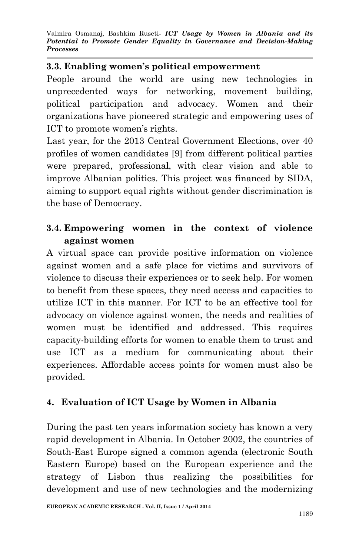### **3.3. Enabling women's political empowerment**

People around the world are using new technologies in unprecedented ways for networking, movement building, political participation and advocacy. Women and their organizations have pioneered strategic and empowering uses of ICT to promote women's rights.

Last year, for the 2013 Central Government Elections, over 40 profiles of women candidates [9] from different political parties were prepared, professional, with clear vision and able to improve Albanian politics. This project was financed by SIDA, aiming to support equal rights without gender discrimination is the base of Democracy.

# **3.4. Empowering women in the context of violence against women**

A virtual space can provide positive information on violence against women and a safe place for victims and survivors of violence to discuss their experiences or to seek help. For women to benefit from these spaces, they need access and capacities to utilize ICT in this manner. For ICT to be an effective tool for advocacy on violence against women, the needs and realities of women must be identified and addressed. This requires capacity-building efforts for women to enable them to trust and use ICT as a medium for communicating about their experiences. Affordable access points for women must also be provided.

# **4. Evaluation of ICT Usage by Women in Albania**

During the past ten years information society has known a very rapid development in Albania. In October 2002, the countries of South-East Europe signed a common agenda (electronic South Eastern Europe) based on the European experience and the strategy of Lisbon thus realizing the possibilities for development and use of new technologies and the modernizing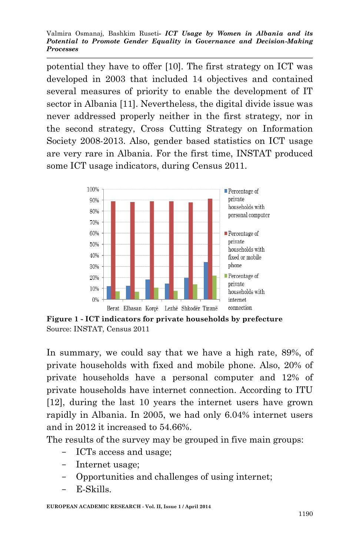Valmira Osmanaj, Bashkim Ruseti*- ICT Usage by Women in Albania and its Potential to Promote Gender Equality in Governance and Decision-Making Processes*

potential they have to offer [10]. The first strategy on ICT was developed in 2003 that included 14 objectives and contained several measures of priority to enable the development of IT sector in Albania [11]. Nevertheless, the digital divide issue was never addressed properly neither in the first strategy, nor in the second strategy, Cross Cutting Strategy on Information Society 2008-2013. Also, gender based statistics on ICT usage are very rare in Albania. For the first time, INSTAT produced some ICT usage indicators, during Census 2011.



**Figure 1 - ICT indicators for private households by prefecture** Source: INSTAT, Census 2011

In summary, we could say that we have a high rate, 89%, of private households with fixed and mobile phone. Also, 20% of private households have a personal computer and 12% of private households have internet connection. According to ITU [12], during the last 10 years the internet users have grown rapidly in Albania. In 2005, we had only 6.04% internet users and in 2012 it increased to 54.66%.

The results of the survey may be grouped in five main groups:

- ICTs access and usage;
- Internet usage;
- Opportunities and challenges of using internet;
- E-Skills.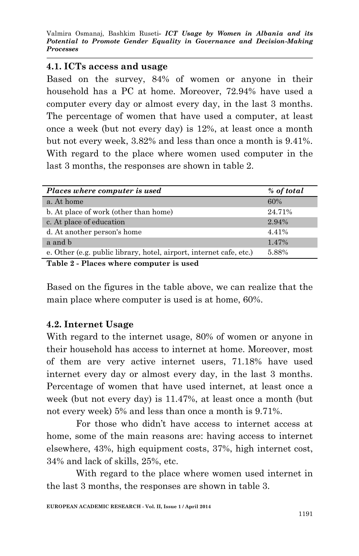Valmira Osmanaj, Bashkim Ruseti*- ICT Usage by Women in Albania and its Potential to Promote Gender Equality in Governance and Decision-Making Processes*

#### **4.1. ICTs access and usage**

Based on the survey, 84% of women or anyone in their household has a PC at home. Moreover, 72.94% have used a computer every day or almost every day, in the last 3 months. The percentage of women that have used a computer, at least once a week (but not every day) is 12%, at least once a month but not every week, 3.82% and less than once a month is 9.41%. With regard to the place where women used computer in the last 3 months, the responses are shown in table 2.

| Places where computer is used                                                   | % of total |
|---------------------------------------------------------------------------------|------------|
| a. At home                                                                      | 60%        |
| b. At place of work (other than home)                                           | 24.71%     |
| c. At place of education                                                        | 2.94%      |
| d. At another person's home                                                     | 4.41%      |
| a and b                                                                         | 1.47%      |
| e. Other (e.g. public library, hotel, airport, internet cafe, etc.)             | 5.88%      |
| $T$ . Let $\theta$ $DI$ and $\theta$ and $\theta$ are a separated in the set of |            |

**Table 2 - Places where computer is used**

Based on the figures in the table above, we can realize that the main place where computer is used is at home, 60%.

### **4.2. Internet Usage**

With regard to the internet usage, 80% of women or anyone in their household has access to internet at home. Moreover, most of them are very active internet users, 71.18% have used internet every day or almost every day, in the last 3 months. Percentage of women that have used internet, at least once a week (but not every day) is 11.47%, at least once a month (but not every week) 5% and less than once a month is 9.71%.

For those who didn't have access to internet access at home, some of the main reasons are: having access to internet elsewhere, 43%, high equipment costs, 37%, high internet cost, 34% and lack of skills, 25%, etc.

With regard to the place where women used internet in the last 3 months, the responses are shown in table 3.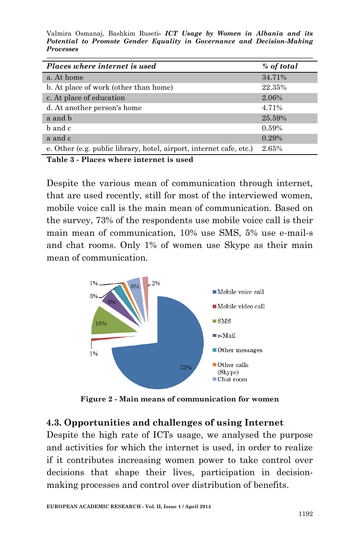Valmira Osmanaj, Bashkim Ruseti*- ICT Usage by Women in Albania and its Potential to Promote Gender Equality in Governance and Decision-Making Processes*

| Places where internet is used                                       | % of total |
|---------------------------------------------------------------------|------------|
| a. At home                                                          | 34.71%     |
| b. At place of work (other than home)                               | 22.35%     |
| c. At place of education                                            | 2.06%      |
| d. At another person's home                                         | 4.71%      |
| a and b                                                             | 25.59%     |
| b and c                                                             | 0.59%      |
| a and c                                                             | 0.29%      |
| e. Other (e.g. public library, hotel, airport, internet cafe, etc.) | 2.65%      |

**Table 3 - Places where internet is used**

Despite the various mean of communication through internet, that are used recently, still for most of the interviewed women, mobile voice call is the main mean of communication. Based on the survey, 73% of the respondents use mobile voice call is their main mean of communication, 10% use SMS, 5% use e-mail-s and chat rooms. Only 1% of women use Skype as their main mean of communication.



**Figure 2 - Main means of communication for women**

### **4.3. Opportunities and challenges of using Internet**

Despite the high rate of ICTs usage, we analysed the purpose and activities for which the internet is used, in order to realize if it contributes increasing women power to take control over decisions that shape their lives, participation in decisionmaking processes and control over distribution of benefits.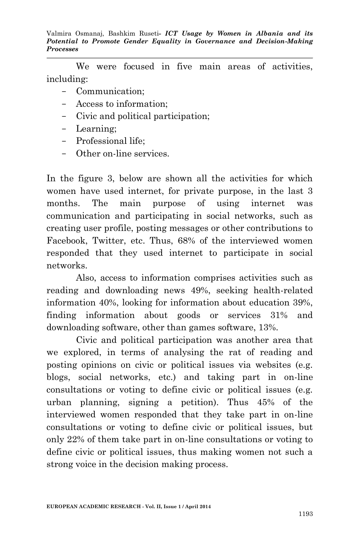We were focused in five main areas of activities, including:

- Communication;
- Access to information;
- Civic and political participation;
- Learning;
- Professional life;
- Other on-line services.

In the figure 3, below are shown all the activities for which women have used internet, for private purpose, in the last 3 months. The main purpose of using internet was communication and participating in social networks, such as creating user profile, posting messages or other contributions to Facebook, Twitter, etc. Thus, 68% of the interviewed women responded that they used internet to participate in social networks.

Also, access to information comprises activities such as reading and downloading news 49%, seeking health-related information 40%, looking for information about education 39%, finding information about goods or services 31% and downloading software, other than games software, 13%.

Civic and political participation was another area that we explored, in terms of analysing the rat of reading and posting opinions on civic or political issues via websites (e.g. blogs, social networks, etc.) and taking part in on-line consultations or voting to define civic or political issues (e.g. urban planning, signing a petition). Thus 45% of the interviewed women responded that they take part in on-line consultations or voting to define civic or political issues, but only 22% of them take part in on-line consultations or voting to define civic or political issues, thus making women not such a strong voice in the decision making process.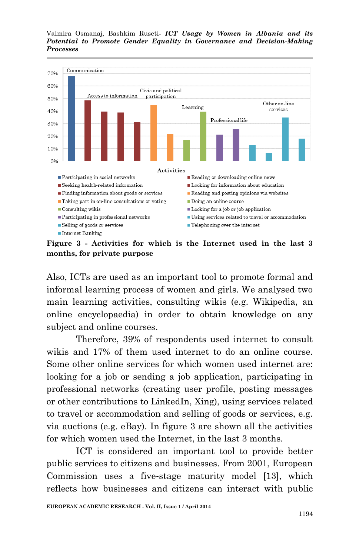



**Figure 3 - Activities for which is the Internet used in the last 3 months, for private purpose**

Also, ICTs are used as an important tool to promote formal and informal learning process of women and girls. We analysed two main learning activities, consulting wikis (e.g. Wikipedia, an online encyclopaedia) in order to obtain knowledge on any subject and online courses.

Therefore, 39% of respondents used internet to consult wikis and 17% of them used internet to do an online course. Some other online services for which women used internet are: looking for a job or sending a job application, participating in professional networks (creating user profile, posting messages or other contributions to LinkedIn, Xing), using services related to travel or accommodation and selling of goods or services, e.g. via auctions (e.g. eBay). In figure 3 are shown all the activities for which women used the Internet, in the last 3 months.

ICT is considered an important tool to provide better public services to citizens and businesses. From 2001, European Commission uses a five‐stage maturity model [13], which reflects how businesses and citizens can interact with public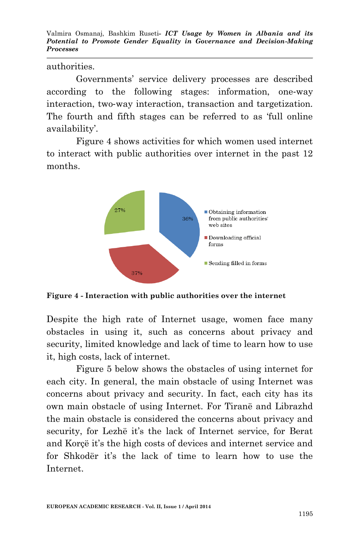Valmira Osmanaj, Bashkim Ruseti*- ICT Usage by Women in Albania and its Potential to Promote Gender Equality in Governance and Decision-Making Processes*

authorities.

Governments' service delivery processes are described according to the following stages: information, one‐way interaction, two‐way interaction, transaction and targetization. The fourth and fifth stages can be referred to as 'full online availability'.

Figure 4 shows activities for which women used internet to interact with public authorities over internet in the past 12 months.



**Figure 4 - Interaction with public authorities over the internet**

Despite the high rate of Internet usage, women face many obstacles in using it, such as concerns about privacy and security, limited knowledge and lack of time to learn how to use it, high costs, lack of internet.

Figure 5 below shows the obstacles of using internet for each city. In general, the main obstacle of using Internet was concerns about privacy and security. In fact, each city has its own main obstacle of using Internet. For Tiranë and Librazhd the main obstacle is considered the concerns about privacy and security, for Lezhë it's the lack of Internet service, for Berat and Korçë it's the high costs of devices and internet service and for Shkodër it's the lack of time to learn how to use the Internet.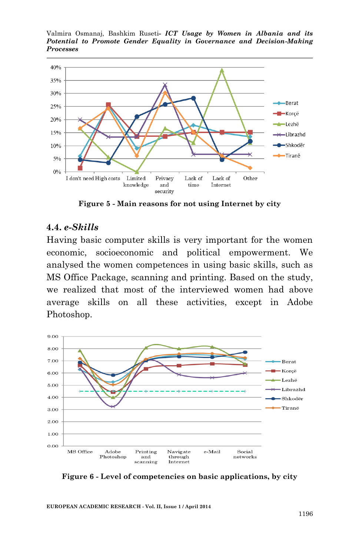Valmira Osmanaj, Bashkim Ruseti*- ICT Usage by Women in Albania and its Potential to Promote Gender Equality in Governance and Decision-Making Processes*



**Figure 5 - Main reasons for not using Internet by city**

#### **4.4.** *e-Skills*

Having basic computer skills is very important for the women economic, socioeconomic and political empowerment. We analysed the women competences in using basic skills, such as MS Office Package, scanning and printing. Based on the study, we realized that most of the interviewed women had above average skills on all these activities, except in Adobe Photoshop.



**Figure 6 - Level of competencies on basic applications, by city**

**EUROPEAN ACADEMIC RESEARCH - Vol. II, Issue 1 / April 2014**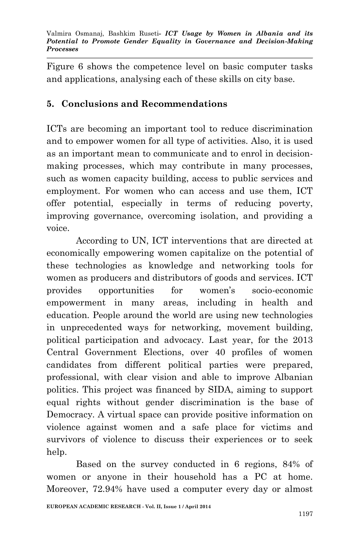Figure 6 shows the competence level on basic computer tasks and applications, analysing each of these skills on city base.

# **5. Conclusions and Recommendations**

ICTs are becoming an important tool to reduce discrimination and to empower women for all type of activities. Also, it is used as an important mean to communicate and to enrol in decisionmaking processes, which may contribute in many processes, such as women capacity building, access to public services and employment. For women who can access and use them, ICT offer potential, especially in terms of reducing poverty, improving governance, overcoming isolation, and providing a voice.

According to UN, ICT interventions that are directed at economically empowering women capitalize on the potential of these technologies as knowledge and networking tools for women as producers and distributors of goods and services. ICT provides opportunities for women's socio-economic empowerment in many areas, including in health and education. People around the world are using new technologies in unprecedented ways for networking, movement building, political participation and advocacy. Last year, for the 2013 Central Government Elections, over 40 profiles of women candidates from different political parties were prepared, professional, with clear vision and able to improve Albanian politics. This project was financed by SIDA, aiming to support equal rights without gender discrimination is the base of Democracy. A virtual space can provide positive information on violence against women and a safe place for victims and survivors of violence to discuss their experiences or to seek help.

Based on the survey conducted in 6 regions, 84% of women or anyone in their household has a PC at home. Moreover, 72.94% have used a computer every day or almost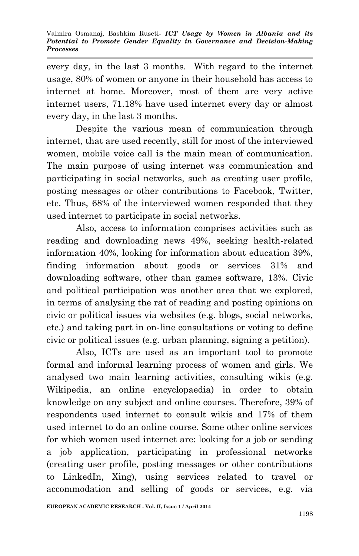every day, in the last 3 months. With regard to the internet usage, 80% of women or anyone in their household has access to internet at home. Moreover, most of them are very active internet users, 71.18% have used internet every day or almost every day, in the last 3 months.

Despite the various mean of communication through internet, that are used recently, still for most of the interviewed women, mobile voice call is the main mean of communication. The main purpose of using internet was communication and participating in social networks, such as creating user profile, posting messages or other contributions to Facebook, Twitter, etc. Thus, 68% of the interviewed women responded that they used internet to participate in social networks.

Also, access to information comprises activities such as reading and downloading news 49%, seeking health-related information 40%, looking for information about education 39%, finding information about goods or services 31% and downloading software, other than games software, 13%. Civic and political participation was another area that we explored, in terms of analysing the rat of reading and posting opinions on civic or political issues via websites (e.g. blogs, social networks, etc.) and taking part in on-line consultations or voting to define civic or political issues (e.g. urban planning, signing a petition).

Also, ICTs are used as an important tool to promote formal and informal learning process of women and girls. We analysed two main learning activities, consulting wikis (e.g. Wikipedia, an online encyclopaedia) in order to obtain knowledge on any subject and online courses. Therefore, 39% of respondents used internet to consult wikis and 17% of them used internet to do an online course. Some other online services for which women used internet are: looking for a job or sending a job application, participating in professional networks (creating user profile, posting messages or other contributions to LinkedIn, Xing), using services related to travel or accommodation and selling of goods or services, e.g. via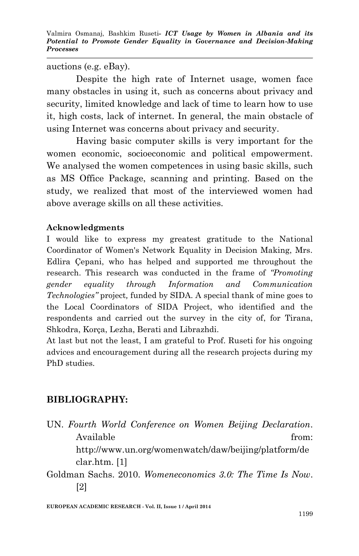auctions (e.g. eBay).

Despite the high rate of Internet usage, women face many obstacles in using it, such as concerns about privacy and security, limited knowledge and lack of time to learn how to use it, high costs, lack of internet. In general, the main obstacle of using Internet was concerns about privacy and security.

Having basic computer skills is very important for the women economic, socioeconomic and political empowerment. We analysed the women competences in using basic skills, such as MS Office Package, scanning and printing. Based on the study, we realized that most of the interviewed women had above average skills on all these activities.

## **Acknowledgments**

I would like to express my greatest gratitude to the National Coordinator of Women's Network Equality in Decision Making, Mrs. Edlira Çepani, who has helped and supported me throughout the research. This research was conducted in the frame of *"Promoting gender equality through Information and Communication Technologies"* project*,* funded by SIDA. A special thank of mine goes to the Local Coordinators of SIDA Project, who identified and the respondents and carried out the survey in the city of, for Tirana, Shkodra, Korça, Lezha, Berati and Librazhdi.

At last but not the least, I am grateful to Prof. Ruseti for his ongoing advices and encouragement during all the research projects during my PhD studies.

# **BIBLIOGRAPHY:**

| UN. Fourth World Conference on Women Beijing Declaration. |                                                      |
|-----------------------------------------------------------|------------------------------------------------------|
| Available                                                 | from:                                                |
|                                                           | http://www.un.org/womenwatch/daw/beijing/platform/de |
| clar.htm. [1]                                             |                                                      |
| Goldman Sachs. 2010. Womeneconomics 3.0: The Time Is Now. |                                                      |
| 121                                                       |                                                      |